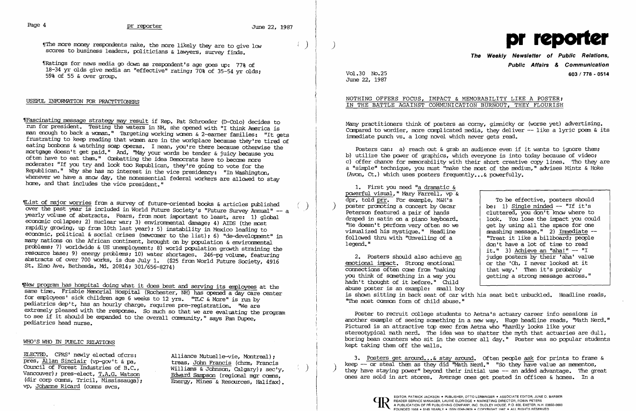The more money respondents make, the more likely they are to give  $1_{\text{GW}}$ . scores to business leaders, politicians & lawyers, survey finds.

"Ratings for news media go down as respondent's age goes up: 77% of 18-34 yr olds give media an "effective" rating; 70% of 35-54 yr olds; 59% of 55 & *over* group.

### USEFUL INFORMATION FOR PRAcrITIONERS

"|Fascinating message strategy may result if Rep. Pat Schroeder (D-Colo) decides to run for president. Testing the waters in NH, she opened with "I think Arrerica is man enough to back a woman." Targeting working women & 2-earner families: "It gets frustrating to keep reading that waren are in the workplace because theylre tired of eating bonbons & watching soap operas. I mean, you're there because otherwise the mortgage doesn't get paid." And, "May your words be tender & juicy because you often have to eat them." Canbatting the idea Democrats have to becane more moderate: "If you try and look too Republican, theylre going to vote for the Republican." Why she has no interest in the vice presidency: "In Washington, whenever we have a snow day, the nonessential federal workers are allowed to stay hane, and that includes the vice president."

Thew program has hospital doing what it does best and serving its employees at the same time. Frisbie Memorial Hospital (Rochester, NH) has opened a day care center for employees' sick children age  $6$  weeks to 12 yrs. "TLC  $\alpha$  More" is run by pediatrics dep't, has an hourly charge, requires pre-registration. "We are extremely pleased with the response. So much so that we are evaluating the program to see if it should be expanded to the overall carmunity," says Pam Dupee, pediatrics head nurse.

### WHO'S WHO IN PUBLIC RELATIONS

ELECTED. CPRS' newly elected ofcrs: Alliance Mutuelle-vie, Montreal);<br>pres, <u>Allan Sinclair</u> (vp-gov't & pa, treas, John Francis (chm, Francis pres, Allan Sinclair (vp-gov't & pa,<br>
Council of Forest Industries of B.C., Williams & Johnson, Calgary); sec'v, Council of Forest Industries of  $B.C.,$ Vancouver); pres-elect, T.A.G. Watson (dir corp cams, Tricil, Mississauga); vp, Johanne Ricard (cams svcs,

Edward Sampson (regional mor comps. Energy, Mines & Resources, Halifax). Many practitioners think of posters as corny, gimnicky or (worse yet) advertising. Compared to wordier, more complicated media, they deliver -- like a lyric poem & its immediate punch vs, a long novel which never gets read.

Posters can: a) reach out & grab an audience even if it wants to ignore them; b) utilize the power of graphics, which everyone is into today because of video; c) offer chance for memorability with their short creative copy lines. Tho they are a "simple" technique, you mist; "make the most of the medium," advises Mintz & Hoke (Avon, Ct.) which uses posters frequently...& powerfully.

1. First you need "a dramatic & powerful visual," Mary Farrell, vp & dpr, told prr. For example, M&H's poster promoting a concert by Oscar<br>Peterson featured a pair of hands Peterson featured a pair of hands<br>draped in satin on a piano keyboard. <br>look. You lose the impact you coul "He doesn't perform very often so we det by using all the space for one visualized his mystique." Headline  $\overline{\phantom{a}}$  anashing message." 2) Immediate -visualized his mystique." Headline<br>followed thru with "Unveiling of a followed thru with "Unveiling of a IITreat it like a billboard; people<br>legend."

2. Posters should also achieve an  $\begin{array}{c|c} 2. & \text{Posters} \text{ should also achieve an} \\ \text{emotional impact.} & \text{Strong emotional} \end{array}$  or the 'Oh. I never looked at it or the 'Oh, I never looked at it<br>that way.' Then it's probably connections often cane fram "making you think of sanething in a way you getting a strong message across." hadn't thought of it before." Child abuse poster is an example: small boy is shown sitting in back seat of car with his seat belt unbuckled. Headline reads, "The most common form of child abuse."

~lList of rraj or worries fran a survey of future-oriented books & articles published /) *over* the past year is included in World Future Society's "Future Survey Annual" -- a . yearly volume of abstracts. Fears, fran most inportant to least, are: 1) global econanic collapse; 2) nuclear war; 3) environmental damage; 4) AIDS (the most rapidly growing, up from 10th last year); 5) instability in Mexico leading to econanic, political & social crises (newcaner to the list); 6) "de-developnent" in recomments, for the African continent, brought on by population & environmental problems; 7) worldwide & US unemployment; 8) world population growth straining the resource base; 9) energy problems; 10) water shortages. 246-pg volume, featuring abstracts of over 700 works, is due July 1. (\$25 from World Future Society, 4916 St. Elmo Ave, Bethesda, Md. 20814; 301/656-8274)

> Poster to recruit college students to Aetna's actuary career info sessions is another example of seeing something in a new way. Huge headline reads, "Math Nerd." Pictured is an attractive tcp exec fran Aetna who "hardly looks like your stereotypical math nerd. The idea was to shatter the myth that actuaries are dull, boring bean counters who sit in the corner all day." Poster was so popular students kept taking them off the walls.

3. Posters get around...& stay around. Often people ask for prints to frame & keep  $-$ - or steal them as they did "Math Nerd." "So they have value as mementos, they have staying power" beyond their initial use  $-$  an added advantage. The great ones are sold in art stores. Average ones get posted in offices & hanes. In a



# **The Weekly Newsletter of Public Relations, Public Affairs & Communication**  Vol-30 No.25 **603/778 - 0514**

To be effective, posters should<br>be: 1) Single minded -- "If it's look. You lose the impact you could<br>get by using all the space for one don't have a lot of time to read it." 3) Achieve an "aha!"  $--$  "I

June 22, 1987

## NOTHING OFFERS FOCUS, IMPACT & MEMORABILITY LIKE A POSTER; IN THE BATTLE AGAINST COMMUNICATION BURNOUT, THEY FLOURISH